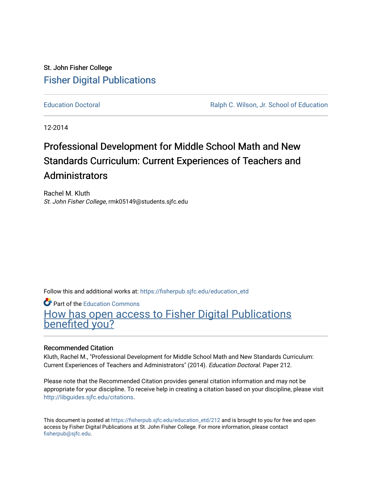# St. John Fisher College [Fisher Digital Publications](https://fisherpub.sjfc.edu/)

[Education Doctoral](https://fisherpub.sjfc.edu/education_etd) [Ralph C. Wilson, Jr. School of Education](https://fisherpub.sjfc.edu/education_student) 

12-2014

# Professional Development for Middle School Math and New Standards Curriculum: Current Experiences of Teachers and Administrators

Rachel M. Kluth St. John Fisher College, rmk05149@students.sjfc.edu

Follow this and additional works at: [https://fisherpub.sjfc.edu/education\\_etd](https://fisherpub.sjfc.edu/education_etd?utm_source=fisherpub.sjfc.edu%2Feducation_etd%2F212&utm_medium=PDF&utm_campaign=PDFCoverPages) 

Part of the [Education Commons](http://network.bepress.com/hgg/discipline/784?utm_source=fisherpub.sjfc.edu%2Feducation_etd%2F212&utm_medium=PDF&utm_campaign=PDFCoverPages)

[How has open access to Fisher Digital Publications](https://docs.google.com/forms/d/14zrnDfH9d1wcdq8oG_-gFabAsxfcH5claltx85ZWyTg/viewform?entry.1394608989=https://fisherpub.sjfc.edu/education_etd/212%3Chttps://docs.google.com/forms/d/14zrnDfH9d1wcdq8oG_-gFabAsxfcH5claltx85ZWyTg/viewform?entry.1394608989=%7bhttps://fisherpub.sjfc.edu/education_etd/212%7d) [benefited you?](https://docs.google.com/forms/d/14zrnDfH9d1wcdq8oG_-gFabAsxfcH5claltx85ZWyTg/viewform?entry.1394608989=https://fisherpub.sjfc.edu/education_etd/212%3Chttps://docs.google.com/forms/d/14zrnDfH9d1wcdq8oG_-gFabAsxfcH5claltx85ZWyTg/viewform?entry.1394608989=%7bhttps://fisherpub.sjfc.edu/education_etd/212%7d)

#### Recommended Citation

Kluth, Rachel M., "Professional Development for Middle School Math and New Standards Curriculum: Current Experiences of Teachers and Administrators" (2014). Education Doctoral. Paper 212.

Please note that the Recommended Citation provides general citation information and may not be appropriate for your discipline. To receive help in creating a citation based on your discipline, please visit [http://libguides.sjfc.edu/citations.](http://libguides.sjfc.edu/citations)

This document is posted at [https://fisherpub.sjfc.edu/education\\_etd/212](https://fisherpub.sjfc.edu/education_etd/212) and is brought to you for free and open access by Fisher Digital Publications at St. John Fisher College. For more information, please contact [fisherpub@sjfc.edu](mailto:fisherpub@sjfc.edu).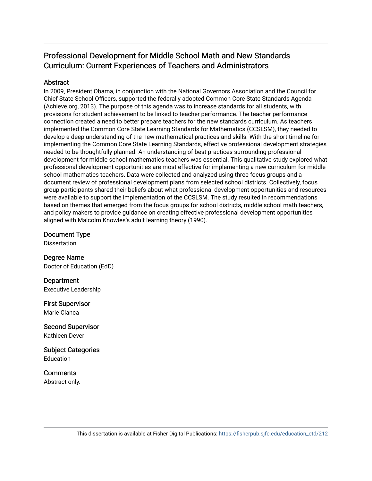# Professional Development for Middle School Math and New Standards Curriculum: Current Experiences of Teachers and Administrators

### **Abstract**

In 2009, President Obama, in conjunction with the National Governors Association and the Council for Chief State School Officers, supported the federally adopted Common Core State Standards Agenda (Achieve.org, 2013). The purpose of this agenda was to increase standards for all students, with provisions for student achievement to be linked to teacher performance. The teacher performance connection created a need to better prepare teachers for the new standards curriculum. As teachers implemented the Common Core State Learning Standards for Mathematics (CCSLSM), they needed to develop a deep understanding of the new mathematical practices and skills. With the short timeline for implementing the Common Core State Learning Standards, effective professional development strategies needed to be thoughtfully planned. An understanding of best practices surrounding professional development for middle school mathematics teachers was essential. This qualitative study explored what professional development opportunities are most effective for implementing a new curriculum for middle school mathematics teachers. Data were collected and analyzed using three focus groups and a document review of professional development plans from selected school districts. Collectively, focus group participants shared their beliefs about what professional development opportunities and resources were available to support the implementation of the CCSLSM. The study resulted in recommendations based on themes that emerged from the focus groups for school districts, middle school math teachers, and policy makers to provide guidance on creating effective professional development opportunities aligned with Malcolm Knowles's adult learning theory (1990).

Document Type Dissertation

Degree Name Doctor of Education (EdD)

**Department** Executive Leadership

First Supervisor Marie Cianca

Second Supervisor Kathleen Dever

Subject Categories Education

**Comments** Abstract only.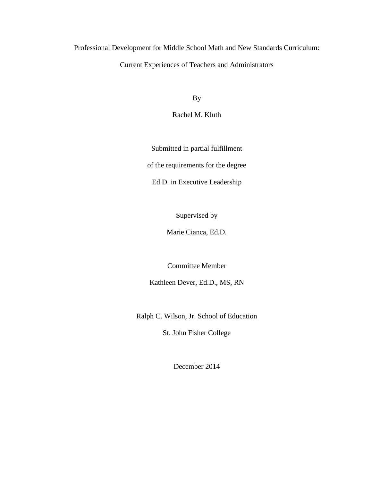Professional Development for Middle School Math and New Standards Curriculum:

## Current Experiences of Teachers and Administrators

By

Rachel M. Kluth

Submitted in partial fulfillment of the requirements for the degree

Ed.D. in Executive Leadership

Supervised by

Marie Cianca, Ed.D.

Committee Member

Kathleen Dever, Ed.D., MS, RN

Ralph C. Wilson, Jr. School of Education

St. John Fisher College

December 2014